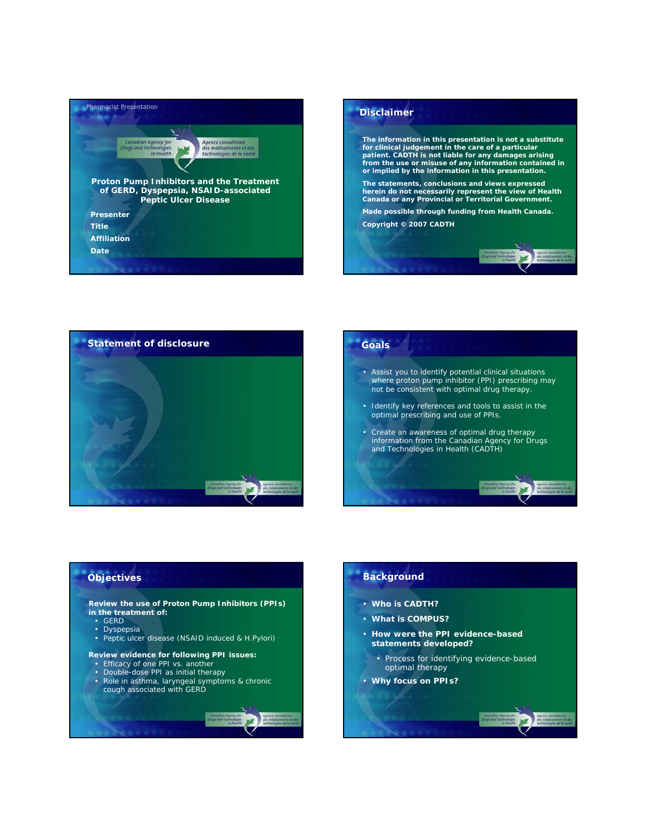





# • *Assist you to identify potential clinical situations where proton pump inhibitor (PPI) prescribing may not be consistent with optimal drug therapy.*

- *Identify key references and tools to assist in the optimal prescribing and use of PPIs.*
- *Create an awareness of optimal drug therapy information from the Canadian Agency for Drugs and Technologies in Health (CADTH)*

## **Objectives**

#### **Review the use of Proton Pump Inhibitors (PPIs) in the treatment of:**

- GERD
- Dyspepsia
- Peptic ulcer disease (NSAID induced & *H.Pylori*)

#### **Review evidence for following PPI issues:**

- Efficacy of one PPI vs. another<br>• Double-dose PPI as initial thera
- Double-dose PPI as initial therapy<br>• Role in asthma Jaryngeal symptor
- Role in asthma, laryngeal symptoms & chronic cough associated with GERD

#### **Background**

- **Who is CADTH?**
- **What is COMPUS?**
- **How were the PPI evidence-based statements developed?** 
	- Process for identifying evidence-based optimal therapy
- **Why focus on PPIs?**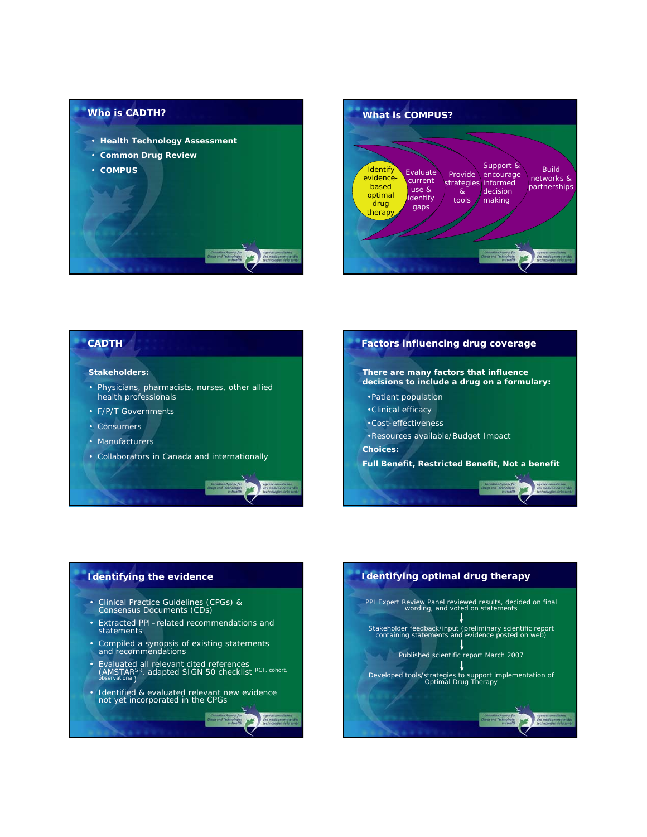





## **Identifying the evidence**

- Clinical Practice Guidelines (CPGs) & Consensus Documents (CDs)
- Extracted PPI–related recommendations and statements
- Compiled a synopsis of existing statements and recommendations
- Evaluated all relevant cited references<br>
(AMSTAR<sup>SR</sup>, adapted SIGN 50 checklist RCT, cohort,<br>
<sub>observational</sub>)
- Identified & evaluated relevant new evidence not yet incorporated in the CPGs

**WE** 

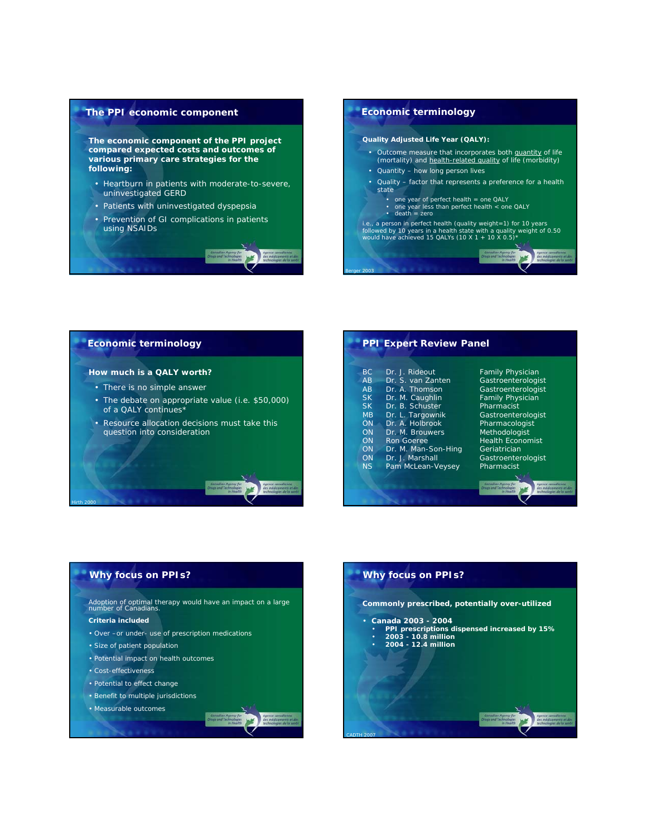

# **Economic terminology** *Quality Adjusted Life Year (QALY):* • Outcome measure that incorporates both quantity of life (mortality) and health-related quality of life (morbidity) • Quantity – how long person lives • Quality – factor that represents a preference for a health state • one year of perfect health = one QALY • one year less than perfect health < one QALY • death = zero *i.e., a person in perfect health (quality weight=1) for 10 years followed by 10 years in a health state with a quality weight of 0.50 would have achieved 15 QALYs (10 X 1 + 10 X 0.5)\**

*Berger 2003*

## **Economic terminology**

#### *How much is a QALY worth?*

- There is no simple answer
- The debate on appropriate value (i.e. \$50,000) of a QALY continues\*
- Resource allocation decisions must take this question into consideration

| BC.       | Dr. J. Rideout      | <b>Family Physician</b>                      |
|-----------|---------------------|----------------------------------------------|
| AB        | Dr. S. van Zanten   | Gastroenterologist                           |
| AB        | Dr. A. Thomson      | Gastroenterologist                           |
| <b>SK</b> | Dr. M. Caughlin     | <b>Family Physician</b>                      |
| <b>SK</b> | Dr. B. Schuster     | Pharmacist                                   |
| <b>MB</b> | Dr. L. Targownik    | Gastroenterologist                           |
| ON        | Dr. A. Holbrook     | Pharmacologist                               |
| ON        | Dr. M. Brouwers     | Methodologist                                |
| ON        | Ron Goeree          | <b>Health Economist</b>                      |
| ON        | Dr. M. Man-Son-Hing | Geriatrician                                 |
| ON        | Dr. J. Marshall     | Gastroenterologist                           |
| NS        | Pam McLean-Veysey   | Pharmacist                                   |
|           |                     |                                              |
|           |                     | Canadian Agency for<br>Drugs and Technologie |
|           |                     | in Health                                    |
|           |                     |                                              |

**PPI Expert Review Panel**

## **Why focus on PPIs?**

Adoption of optimal therapy would have an impact on a large number of Canadians.

### **Criteria included**

*Hirth 2000*

- Over –or under- use of prescription medications
- Size of patient population
- Potential impact on health outcomes
- Cost-effectiveness
- Potential to effect change
- Benefit to multiple jurisdictions
- Measurable outcomes

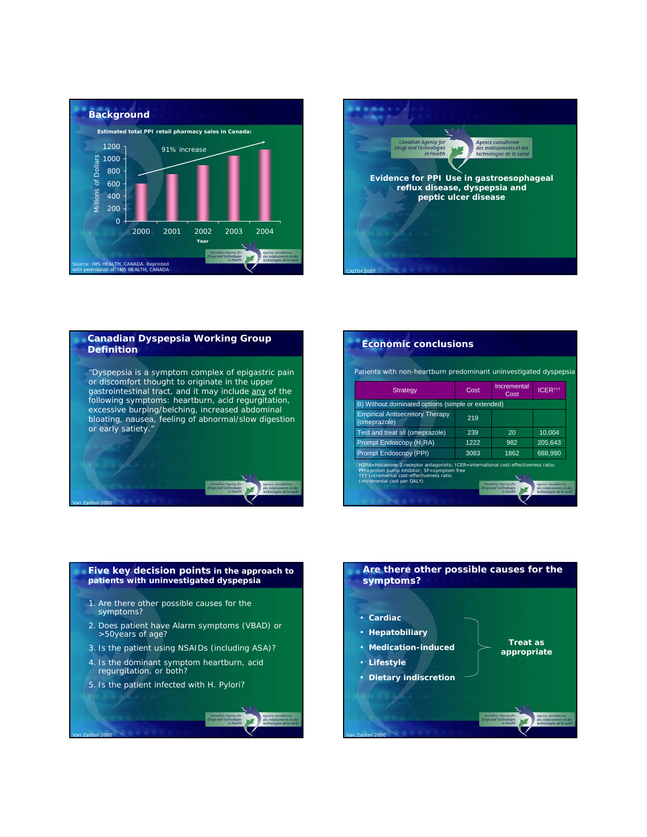



## **Canadian Dyspepsia Working Group Definition**

"Dyspepsia is a symptom complex of epigastric pain or discomfort thought to originate in the upper gastrointestinal tract, and it may include any of the following symptoms: *heartburn, acid regurgitation, excessive burping/belching, increased abdominal bloating, nausea, feeling of abnormal/slow digestion or early satiety."*

*Van Zanten 2000*

| Patients with non-heartburn predominant uninvestigated dyspepsia                    |      |                     |               |  |  |
|-------------------------------------------------------------------------------------|------|---------------------|---------------|--|--|
| <b>Strategy</b>                                                                     | Cost | Incremental<br>Cost | <b>ICER##</b> |  |  |
| B) Without dominated options (simple or extended)                                   |      |                     |               |  |  |
| <b>Empirical Antisecretory Therapy</b><br>(omeprazole)                              | 219  |                     |               |  |  |
| Test and treat all (omeprazole)                                                     | 239  | 20                  | 10.004        |  |  |
| Prompt Endoscopy (H <sub>2</sub> RA)                                                | 1222 | 982                 | 205.643       |  |  |
| <b>Prompt Endoscopy (PPI)</b>                                                       | 3083 | 1862                | 688,990       |  |  |
| H2RA=histamine-2 receptor antagonists; ICER=international cost-effectiveness ratio; |      |                     |               |  |  |

## **Five key decision points in the approach to patients with uninvestigated dyspepsia**

- 1. Are there other possible causes for the symptoms?
- 2. Does patient have Alarm symptoms (VBAD) or >50years of age?
- 3. Is the patient using NSAIDs (including ASA)?
- 4. Is the dominant symptom heartburn, acid regurgitation, or both?
- 5. Is the patient infected with *H. Pylori*?

*Van Zanten 2000*

## **Are there other possible causes for the symptoms?** • **Cardiac** • **Hepatobiliary** • **Medication-induced Treat as**

**appropriate**

• **Lifestyle**

*Van Zanten 2000*

• **Dietary indiscretion**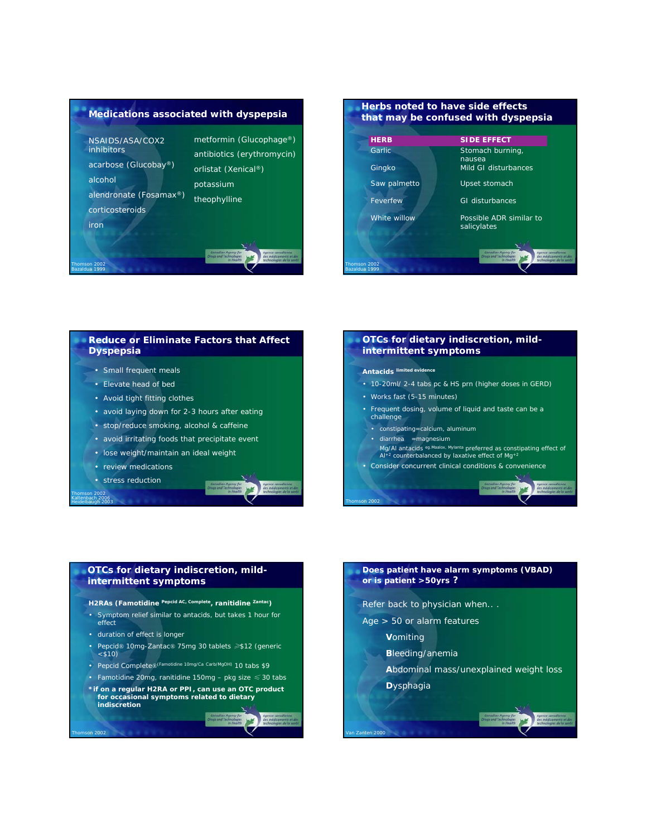



## **Reduce or Eliminate Factors that Affect Dyspepsia**

- Small frequent meals
- Elevate head of bed
- Avoid tight fitting clothes
- avoid laying down for 2-3 hours after eating
- stop/reduce smoking, alcohol & caffeine
- avoid irritating foods that precipitate event
- lose weight/maintain an ideal weight
- review medications
- stress reduction

*Thomson 2002 Kaltenbach 2006 Heidelbaugh 2003*

*Thomson 2002*



#### **OTCs for dietary indiscretion, mildintermittent symptoms**

#### **Antacids limited evidence**

- 10-20ml/ 2-4 tabs pc & HS prn (higher doses in GERD)
- Works fast (5-15 minutes)
- Frequent dosing, volume of liquid and taste can be a challenge
	- constipating=calcium, aluminum
- diarrhea =magnesium

*Thomson 2002*

*Van Zanten 2000*

- Mg/Al antacids <sup>eg.Maalox, Mylanta</sup> preferred as constipating effect of<br>Al+<sup>2</sup> counterbalanced by laxative effect of Mg+<sup>2</sup>
- Consider concurrent clinical conditions & convenience

## **OTCs for dietary indiscretion, mildintermittent symptoms**

*H2RAs (Famotidine Pepcid AC, Complete, ranitidine Zantac)*

- *Symptom relief similar to antacids, but takes 1 hour for effect*
- *duration of effect is longer*
- *Pepcid® 10mg-Zantac® 75mg 30 tablets* ≥*\$12 (generic <\$10)*
- *Pepcid Complete®(Famotidine 10mg/Ca Carb/MgOH) 10 tabs \$9*
- *Famotidine 20mg, ranitidine 150mg pkg size* ≤ *30 tabs*
- *\*if on a regular H2RA or PPI, can use an OTC product for occasional symptoms related to dietary indiscretion*

# **Does patient have alarm symptoms (VBAD) or is patient >50yrs ?**

- *Refer back to physician when.. .*
- *Age > 50 or alarm features* 
	- *Vomiting*
	- *Bleeding/anemia*
		- *Abdominal mass/unexplained weight loss*
		- *Dysphagia*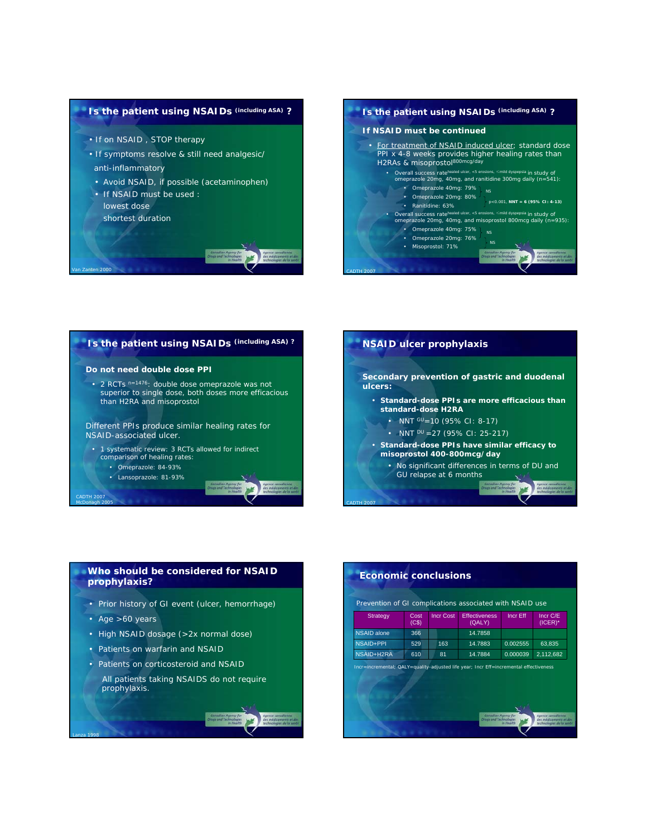

- *If on NSAID , STOP therapy*
- *If symptoms resolve & still need analgesic/ anti-inflammatory*
- Avoid NSAID, if possible (acetaminophen)
- If NSAID must be used : lowest dose
- shortest duration

*Van Zanten 2000*







#### **Who should be considered for NSAID prophylaxis?**

- Prior history of GI event (ulcer, hemorrhage)
- Age >60 years

*Lanza 1998*

- High NSAID dosage (>2x normal dose)
- Patients on warfarin and NSAID
- Patients on corticosteroid and NSAID
- All patients taking NSAIDS do not require prophylaxis.

## **Economic conclusions** NSAID alone 366 14.7858 Incr C/E (ICER)\* Effectiveness Incr Eff (QALY) Incr Cost Cost<br>(C\$) **Strategy** Prevention of GI complications associated with NSAID use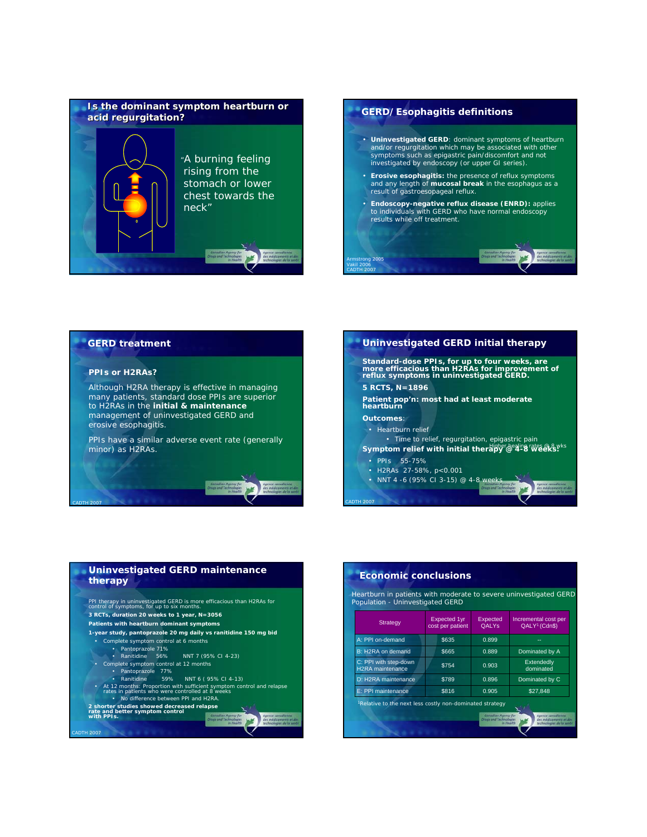



### **GERD treatment**

#### **PPIs or H2RAs?**

*CADTH 2007*

Although H2RA therapy is effective in managing many patients, standard dose PPIs are superior to H2RAs in the **initial & maintenance** management of uninvestigated GERD and erosive esophagitis.

PPIs have a similar adverse event rate (generally minor) as H2RAs.



## **Uninvestigated GERD maintenance therapy**



#### **Economic conclusions**

Heartburn in patients with moderate to severe uninvestigated GERD Population - Uninvestigated GERD

| Strategy                                                             | Expected 1yr<br>cost per patient | Expected<br><b>OALYs</b>                                          | Incremental cost per<br>QALY <sup>1</sup> (Cdn\$)                       |
|----------------------------------------------------------------------|----------------------------------|-------------------------------------------------------------------|-------------------------------------------------------------------------|
| A: PPI on-demand                                                     | \$635                            | 0.899                                                             | --                                                                      |
| B: H2RA on demand                                                    | \$665                            | 0.889                                                             | Dominated by A                                                          |
| C: PPI with step-down<br><b>H2RA</b> maintenance                     | \$754                            | 0.903                                                             | Extendedly<br>dominated                                                 |
| D: H2RA maintenance                                                  | \$789                            | 0.896                                                             | Dominated by C                                                          |
| E: PPI maintenance                                                   | \$816                            | 0.905                                                             | \$27.848                                                                |
| <sup>1</sup> Relative to the next less costly non-dominated strategy |                                  | Canadian Agency for<br><b>Drugs and Technologies</b><br>in Health | Agence canadienne<br>des médicaments et des<br>technologies de la santé |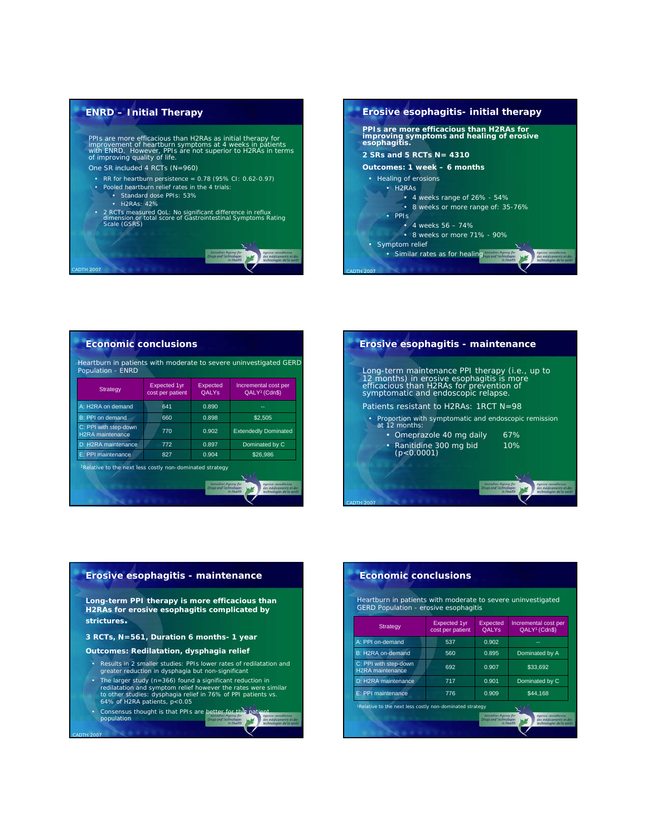

*CADTH 2007*

*CADTH 2007*



| Strategy                                         | Expected 1yr<br>cost per patient | Expected<br><b>OALYs</b> | Incremental cost per<br>QALY <sup>1</sup> (Cdn\$) |  |
|--------------------------------------------------|----------------------------------|--------------------------|---------------------------------------------------|--|
| A: H2RA on demand                                | 641                              | 0.890                    | --                                                |  |
| B: PPI on demand                                 | 660                              | 0.898                    | \$2,505                                           |  |
| C: PPI with step-down<br><b>H2RA</b> maintenance | 770                              | 0.902                    | <b>Extendedly Dominated</b>                       |  |
| D: H2RA maintenance                              | 772                              | 0.897                    | Dominated by C                                    |  |
| E: PPI maintenance                               | 827                              | 0.904                    | \$26,986                                          |  |



# **Erosive esophagitis - maintenance** *Long-term PPI therapy is more efficacious than H2RAs for erosive esophagitis complicated by strictures.*

*3 RCTs, N=561, Duration 6 months- 1 year*

**Outcomes: Redilatation, dysphagia relief**

- Results in 2 smaller studies: PPIs lower rates of redilatation and greater reduction in dysphagia but non-significant
- The larger study (n=366) found a significant reduction in redilatation and symptom relief however the rates were similar to other studies: dysphagia relief in 76% of PPI patients vs.
- 64% of H2RA patients, p<0.05
- Consensus thought is that PPIs are better for this patient population population

# **Economic conclusions**

Heartburn in patients with moderate to severe uninvestigated GERD Population - erosive esophagitis

| <b>Strategy</b>                                                      | <b>Expected 1yr</b><br>cost per patient | Expected<br><b>OALYS</b>                             | Incremental cost per<br>QALY <sup>1</sup> (Cdn\$)                                              |
|----------------------------------------------------------------------|-----------------------------------------|------------------------------------------------------|------------------------------------------------------------------------------------------------|
| A: PPI on-demand                                                     | 537                                     | 0.902                                                | --                                                                                             |
| B: H2RA on-demand                                                    | 560                                     | 0.895                                                | Dominated by A                                                                                 |
| C: PPI with step-down<br><b>H2RA</b> maintenance                     | 692                                     | 0.907                                                | \$33,692                                                                                       |
| D: H2RA maintenance                                                  | 717                                     | 0.901                                                | Dominated by C                                                                                 |
| E: PPI maintenance                                                   | 776                                     | 0.909                                                | \$44.168                                                                                       |
| <sup>1</sup> Relative to the next less costly non-dominated strategy |                                         | Canadian Agency for<br><b>Drugs and Technologies</b> | Agence canadienne<br>des médicaments et des<br><b>Joe Educable</b><br>technologies de la santi |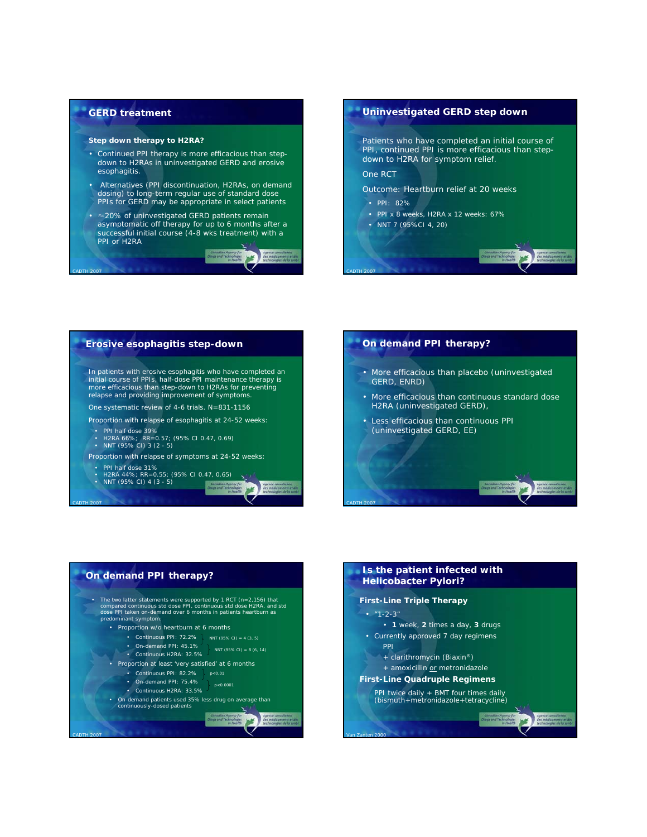

*CADTH 2007*

*CADTH 2007*

#### **Step down therapy to H2RA?**

- Continued PPI therapy is more efficacious than stepdown to H2RAs in uninvestigated GERD and erosive esophagitis.
- Alternatives (PPI discontinuation, H2RAs, on demand dosing) to long-term regular use of standard dose PPIs for GERD may be appropriate in select patients
- ≈20% of uninvestigated GERD patients remain asymptomatic off therapy for up to 6 months after a successful initial course (4-8 wks treatment) with a PPI or H2RA



*CADTH 2007*







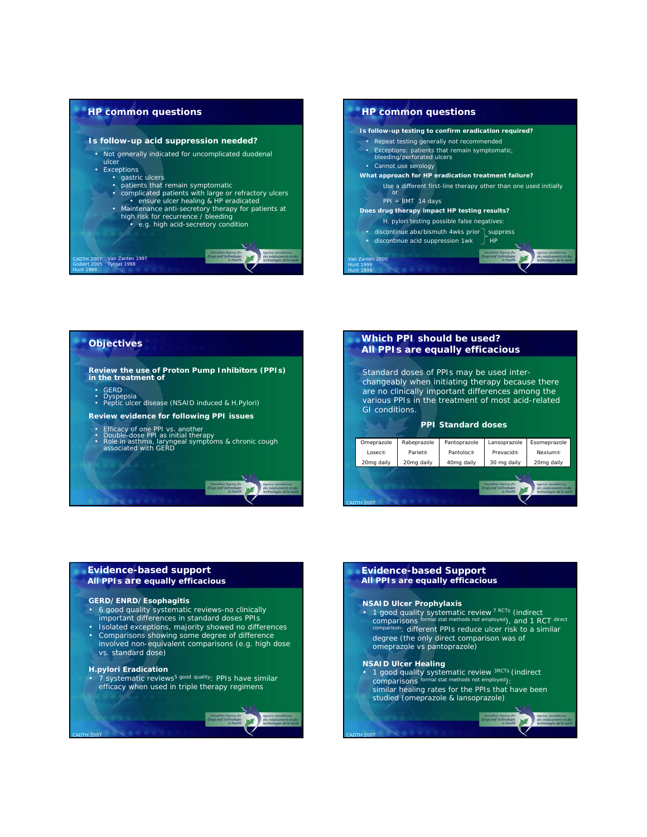

## **HP common questions** *Is follow-up testing to confirm eradication required?* • Repeat testing generally not recommended • Exceptions: patients that remain symptomatic, bleeding/perforated ulcers • Cannot use serology *What approach for HP eradication treatment failure?* Use a different first-line therapy other than one used initially or PPI + BMT 14 days *Does drug therapy impact HP testing results? H. pylori* testing possible false negatives: discontinue abx/bismuth 4wks prior auppress • discontinue acid suppression  $1wk$   $\int HP$ *Van Zanten 2000*

## **Objectives**

*Review the use of Proton Pump Inhibitors (PPIs) in the treatment of*

• GERD

- Dyspepsia Peptic ulcer disease (NSAID induced & *H.Pylori*)
- *Review evidence for following PPI issues*
- 
- Efficacy of one PPI vs. another<br>• Double-dose PPI as initial therapy<br>• Role in asthma, laryngeal symptoms & chronic cough<br>associated with GERD

### **Which PPI should be used?** *All PPIs are equally efficacious*

*Hunt 1999 Hunt 1998*

> Standard doses of PPIs may be used interchangeably when initiating therapy because there are no clinically important differences among the various PPIs in the treatment of most acid-related GI conditions.

#### **PPI Standard doses**



## **Evidence-based support All PPIs are equally efficacious**

### **GERD/ENRD/Esophagitis**

- 6 good quality systematic reviews-no clinically important differences in standard doses PPIs
- Isolated exceptions, majority showed no differences
- Comparisons showing some degree of difference involved non-equivalent comparisons (e.g. high dose vs. standard dose)

#### *H.pylori* **Eradication**

*CADTH 2007*

**Fy** Fig. 2. External text of the state of a statement of systematic reviews<sup>5</sup> good quality: PPIs have similar efficacy when used in triple therapy regimens

#### **Evidence-based Support All PPIs are equally efficacious**

#### **NSAID Ulcer Prophylaxis**

• *1 good quality systematic review 7 RCTs (indirect comparisons formal stat methods not employed), and 1 RCT direct comparison:* different PPIs reduce ulcer risk to a similar degree (the only direct comparison was of omeprazole vs pantoprazole)

#### **NSAID Ulcer Healing**

- *1 good quality systematic review 3RCTs (indirect comparisons formal stat methods not employed):*
- similar healing rates for the PPIs that have been studied (omeprazole & lansoprazole)

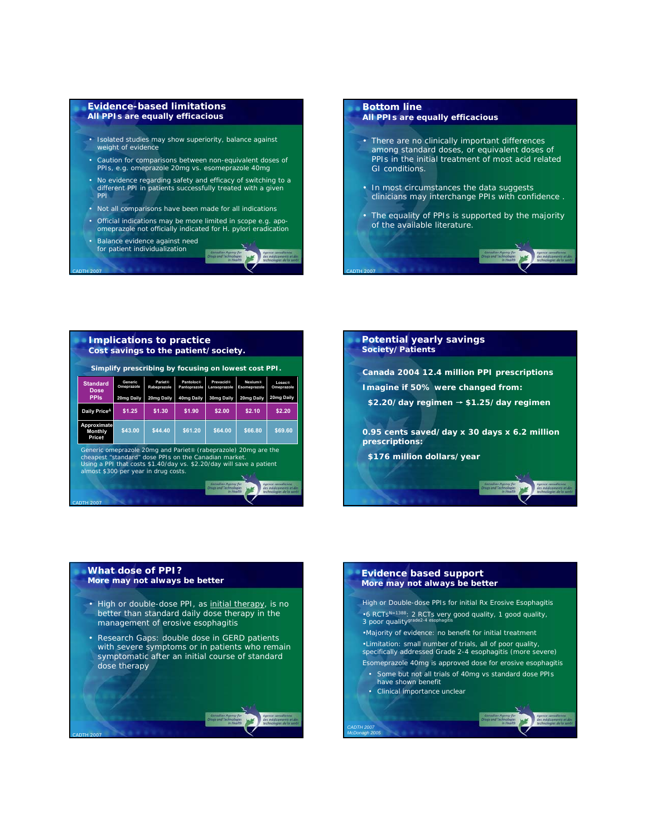#### **Evidence-based limitations All PPIs are equally efficacious**

- Isolated studies may show superiority, balance against weight of evidence
- Caution for comparisons between non-equivalent doses of PPIs, e.g. omeprazole 20mg vs. esomeprazole 40mg
- No evidence regarding safety and efficacy of switching to a different PPI in patients successfully treated with a given PPI
- Not all comparisons have been made for all indications
- Official indications may be more limited in scope e.g. apo-omeprazole not officially indicated for *H. pylori* eradication
- Balance evidence against need for patient individualization

*CADTH 2007*

## **Bottom line All PPIs are equally efficacious** • There are no clinically important differences among standard doses, or equivalent doses of PPIs in the initial treatment of most acid related GI conditions. • In most circumstances the data suggests clinicians may interchange PPIs with confidence . • The equality of PPIs is supported by the majority of the available literature.

*CADTH 2007*





## **What dose of PPI?**

- *More may not always be better*
- High or double-dose PPI, as initial therapy, is no better than standard daily dose therapy in the management of erosive esophagitis
- Research Gaps: double dose in GERD patients with severe symptoms or in patients who remain symptomatic after an initial course of standard dose therapy



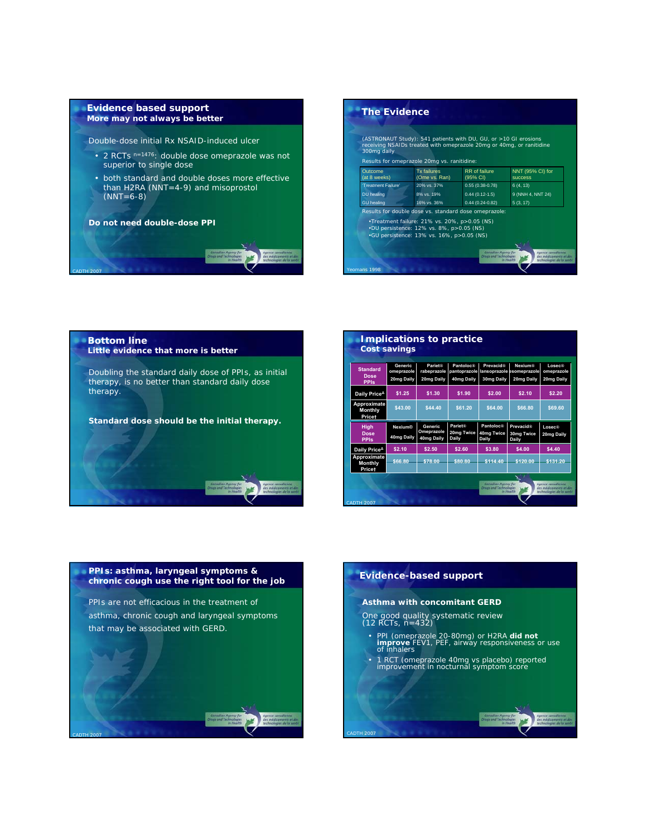#### **Evidence based support**  *More may not always be better*

Double-dose initial Rx NSAID-induced ulcer

- 2 RCTs <sup>n=1476</sup>: double dose omeprazole was not superior to single dose
- both standard and double doses more effective than H2RA (NNT=4-9) and misoprostol (NNT=6-8)

**Do not need double-dose PPI**



| 300mg daily             | (ASTRONAUT Study): 541 patients with DU, GU, or >10 GI erosions<br>receiving NSAIDs treated with omeprazole 20mg or 40mg, or ranitidine                                                         |                           |                                    |
|-------------------------|-------------------------------------------------------------------------------------------------------------------------------------------------------------------------------------------------|---------------------------|------------------------------------|
|                         | Results for omeprazole 20mg vs. ranitidine:                                                                                                                                                     |                           |                                    |
| Outcome<br>(at 8 weeks) | <b>Tx</b> failures<br>(Ome vs. Ran)                                                                                                                                                             | RR of failure<br>(95% CI) | NNT (95% CI) for<br><b>SUCCeSS</b> |
| 'Treatment Failure'     | 20% vs. 37%                                                                                                                                                                                     | $0.55(0.38 - 0.78)$       | 6(4.13)                            |
| DU healing              | 8% vs. 19%                                                                                                                                                                                      | $0.44(0.12-1.5)$          | 9 (NNH 4, NNT 24)                  |
| <b>GU</b> healing       | 16% vs. 36%                                                                                                                                                                                     | $0.44(0.24 - 0.82)$       | 5(3, 17)                           |
|                         | Results for double dose vs. standard dose omeprazole:<br>. Treatment failure: 21% vs. 20%, p>0.05 (NS)<br>.DU persistence: 12% vs. 8%, p>0.05 (NS)<br>•GU persistence: 13% vs. 16%, p>0.05 (NS) |                           |                                    |
|                         |                                                                                                                                                                                                 |                           |                                    |



| <b>Standard</b><br><b>Dose</b><br><b>PPIs</b> | <b>Generic</b><br>omeprazole<br>20mg Daily | <b>Pariet®</b><br>rabeprazole<br>20mg Daily | Pantoloc®<br>pantoprazole<br>40mg Daily | <b>Prevacid®</b><br>30mg Daily   | Nexium®<br>lansoprazole esomeprazole<br>20mg Daily | Losec®<br>omeprazole<br>20mg Daily |
|-----------------------------------------------|--------------------------------------------|---------------------------------------------|-----------------------------------------|----------------------------------|----------------------------------------------------|------------------------------------|
| Daily Price <sup>4</sup>                      | \$1.25                                     | \$1.30                                      | \$1.90                                  | \$2.00                           | \$2.10                                             | \$2.20                             |
| Approximate<br><b>Monthly</b><br>Pricet       | \$43.00                                    | \$44.40                                     | \$61.20                                 | \$64.00                          | \$66.80                                            | \$69.60                            |
| <b>High</b><br><b>Dose</b><br><b>PPIs</b>     | Nexium®<br>40mg Daily                      | <b>Generic</b><br>Omeprazole<br>40mg Daily  | <b>Pariet®</b><br>20mg Twice<br>Daily   | Pantoloc®<br>40mg Twice<br>Daily | <b>Prevacid®</b><br><b>30mg Twice</b><br>Daily     | Losec@<br>20mg Daily               |
| Daily Price <sup>4</sup>                      | \$2.10                                     | \$2.50                                      | \$2.60                                  | \$3.80                           | \$4.00                                             | \$4.40                             |
| Approximate<br><b>Monthly</b><br>Pricet       | \$66.80                                    | \$78.00                                     | \$80.80                                 | \$114.40                         | \$120.00                                           | \$131.20                           |

# **PPIs: asthma, laryngeal symptoms & chronic cough use the right tool for the job**

PPIs are not efficacious in the treatment of asthma, chronic cough and laryngeal symptoms that may be associated with GERD.

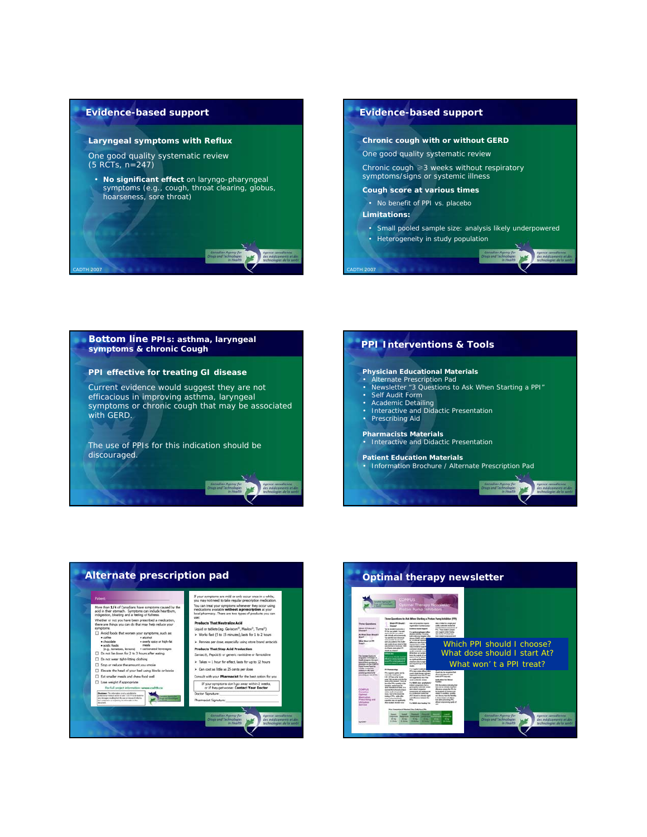#### **Evidence-based support**

*CADTH 2007*

#### **Laryngeal symptoms with Reflux**

One good quality systematic review (5 RCTs, n=247)

• **No significant effect** on laryngo-pharyngeal symptoms (e.g., cough, throat clearing, globus, hoarseness, sore throat)

## **Evidence-based support Chronic cough with or without GERD** One good quality systematic review Chronic cough ≥3 weeks without respiratory symptoms/signs or systemic illness **Cough score at various times**  • No benefit of PPI vs. placebo **Limitations:** • Small pooled sample size: analysis likely underpowered • Heterogeneity in study population

**Julet** 







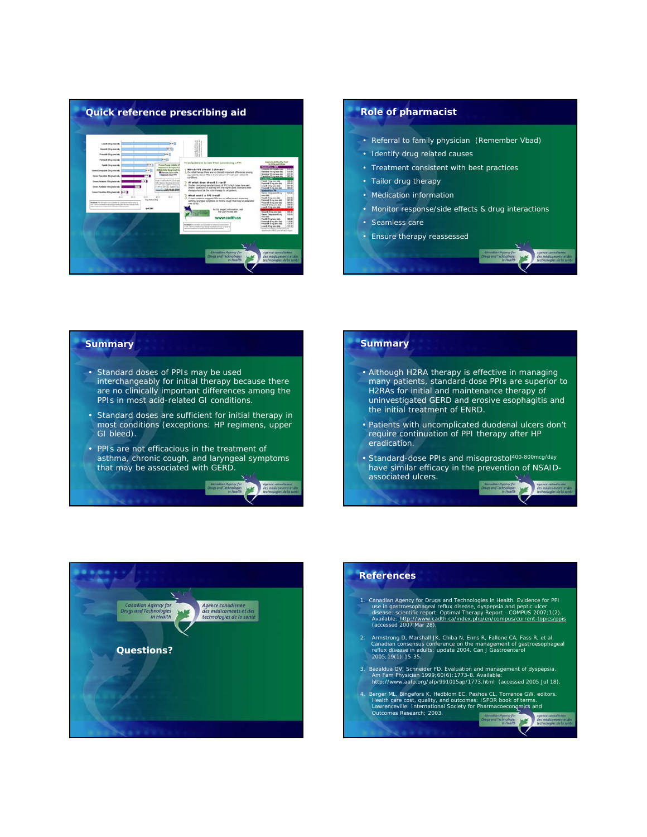

# • Referral to family physician (Remember Vbad) • Identify drug related causes • Treatment consistent with best practices • Tailor drug therapy • Medication information • Monitor response/side effects & drug interactions • Seamless care • Ensure therapy reassessed

## **Summary** • Standard doses of PPIs may be used interchangeably for initial therapy because there are no clinically important differences among the PPIs in most acid-related GI conditions. • Standard doses are sufficient for initial therapy in most conditions (exceptions: HP regimens, upper GI bleed). • PPIs are not efficacious in the treatment of asthma, chronic cough, and laryngeal symptoms that may be associated with GERD. **WE**

## **Summary**

- Although H2RA therapy is effective in managing many patients, standard-dose PPIs are superior to H2RAs for initial and maintenance therapy of uninvestigated GERD and erosive esophagitis and the initial treatment of ENRD.
- Patients with uncomplicated duodenal ulcers don't require continuation of PPI therapy after HP eradication.
- Standard-dose PPIs and misoprostol<sup>400-800</sup>mcg/day have similar efficacy in the prevention of NSAIDassociated ulcers.

**NE** 



## **References**

- 1. Canadian Agency for Drugs and Technologies in Health. Evidence for PPI use in gastroesophageal reflux disease, dyspepsia and peptic ulcer<br>disease: scientific report. *Optimal Therapy Report - COMPUS* 2007;1(2).<br>Available: <u>http://www.cadth.ca/index.php/en/compus/current-topics/ppis</u><br>(accessed
- 2. Armstrong D, Marshall JK, Chiba N, Enns R, Fallone CA, Fass R, et al.<br>Canadian consensus conference on the management of gastroesophageal<br>reflux disease in adults: update 2004. *Can J Gastroenterol*<br>2005:19(1):15-35.
- 3. Bazaldua OV, Schneider FD. Evaluation and management of dyspepsia. *Am Fam Physician* 1999;60(6):1773-8. Available: http://www.aafp.org/afp/991015ap/1773.html (accessed 2005 Jul 18).
- 4. Berger ML, Bingefors K, Hedblom EC, Pashos CL, Torrance GW, editors.<br>
Health care cost, quality, and outcomes: ISPOR book of terms.<br>
Lawrenceville: International Society for Pharmacoeconomics and<br>
Outcomes Research: 200 Agency